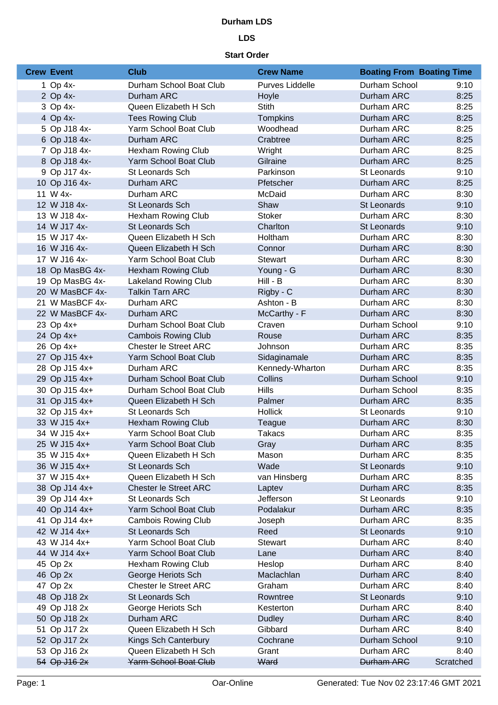# **Durham LDS**

# **LDS**

#### **Start Order**

| <b>Crew Event</b> | <b>Club</b>                  | <b>Crew Name</b> | <b>Boating From Boating Time</b> |           |
|-------------------|------------------------------|------------------|----------------------------------|-----------|
| 1 Op 4x-          | Durham School Boat Club      | Purves Liddelle  | Durham School                    | 9:10      |
| 2 Op 4x-          | Durham ARC                   | Hoyle            | Durham ARC                       | 8:25      |
| 3 Op 4x-          | Queen Elizabeth H Sch        | Stith            | Durham ARC                       | 8:25      |
| 4 Op 4x-          | <b>Tees Rowing Club</b>      | <b>Tompkins</b>  | Durham ARC                       | 8:25      |
| 5 Op J18 4x-      | Yarm School Boat Club        | Woodhead         | Durham ARC                       | 8:25      |
| 6 Op J18 4x-      | Durham ARC                   | Crabtree         | Durham ARC                       | 8:25      |
| 7 Op J18 4x-      | <b>Hexham Rowing Club</b>    | Wright           | Durham ARC                       | 8:25      |
| 8 Op J18 4x-      | Yarm School Boat Club        | Gilraine         | Durham ARC                       | 8:25      |
| 9 Op J17 4x-      | St Leonards Sch              | Parkinson        | St Leonards                      | 9:10      |
| 10 Op J16 4x-     | Durham ARC                   | Pfetscher        | Durham ARC                       | 8:25      |
| 11 W 4x-          | Durham ARC                   | McDaid           | Durham ARC                       | 8:30      |
| 12 W J18 4x-      | <b>St Leonards Sch</b>       | Shaw             | St Leonards                      | 9:10      |
| 13 W J18 4x-      | Hexham Rowing Club           | <b>Stoker</b>    | Durham ARC                       | 8:30      |
| 14 W J17 4x-      | St Leonards Sch              | Charlton         | St Leonards                      | 9:10      |
| 15 W J17 4x-      | Queen Elizabeth H Sch        | Holtham          | Durham ARC                       | 8:30      |
| 16 W J16 4x-      | Queen Elizabeth H Sch        | Connor           | Durham ARC                       | 8:30      |
| 17 W J16 4x-      | Yarm School Boat Club        | <b>Stewart</b>   | Durham ARC                       | 8:30      |
| 18 Op MasBG 4x-   | <b>Hexham Rowing Club</b>    | Young - G        | Durham ARC                       | 8:30      |
| 19 Op MasBG 4x-   | <b>Lakeland Rowing Club</b>  | Hill - B         | Durham ARC                       | 8:30      |
| 20 W MasBCF 4x-   | <b>Talkin Tarn ARC</b>       | Rigby - C        | Durham ARC                       | 8:30      |
| 21 W MasBCF 4x-   | Durham ARC                   | Ashton - B       | Durham ARC                       | 8:30      |
| 22 W MasBCF 4x-   | Durham ARC                   | McCarthy - F     | Durham ARC                       | 8:30      |
| 23 Op 4x+         | Durham School Boat Club      | Craven           | Durham School                    | 9:10      |
| 24 Op 4x+         | <b>Cambois Rowing Club</b>   | Rouse            | Durham ARC                       | 8:35      |
| 26 Op 4x+         | <b>Chester le Street ARC</b> | Johnson          | Durham ARC                       | 8:35      |
| 27 Op J15 4x+     | Yarm School Boat Club        | Sidaginamale     | Durham ARC                       | 8:35      |
| 28 Op J15 4x+     | Durham ARC                   | Kennedy-Wharton  | Durham ARC                       | 8:35      |
| 29 Op J15 4x+     | Durham School Boat Club      | Collins          | Durham School                    | 9:10      |
| 30 Op J15 4x+     | Durham School Boat Club      | <b>Hills</b>     | Durham School                    | 8:35      |
| 31 Op J15 4x+     | Queen Elizabeth H Sch        | Palmer           | Durham ARC                       | 8:35      |
| 32 Op J15 4x+     | St Leonards Sch              | <b>Hollick</b>   | St Leonards                      | 9:10      |
| 33 W J15 4x+      | <b>Hexham Rowing Club</b>    | Teague           | Durham ARC                       | 8:30      |
| 34 W J15 4x+      | Yarm School Boat Club        | Takacs           | Durham ARC                       | 8:35      |
| 25 W J15 4x+      | Yarm School Boat Club        | Gray             | Durham ARC                       | 8:35      |
| 35 W J15 4x+      | Queen Elizabeth H Sch        | Mason            | Durham ARC                       | 8:35      |
| 36 W J15 4x+      | St Leonards Sch              | Wade             | St Leonards                      | 9:10      |
| 37 W J15 4x+      | Queen Elizabeth H Sch        | van Hinsberg     | Durham ARC                       | 8:35      |
| 38 Op J14 4x+     | <b>Chester le Street ARC</b> | Laptev           | Durham ARC                       | 8:35      |
| 39 Op J14 4x+     | St Leonards Sch              | Jefferson        | St Leonards                      | 9:10      |
| 40 Op J14 4x+     | Yarm School Boat Club        | Podalakur        | Durham ARC                       | 8:35      |
| 41 Op J14 4x+     | <b>Cambois Rowing Club</b>   | Joseph           | Durham ARC                       | 8:35      |
| 42 W J14 4x+      | St Leonards Sch              | Reed             | St Leonards                      | 9:10      |
| 43 W J14 4x+      | Yarm School Boat Club        | <b>Stewart</b>   | Durham ARC                       | 8:40      |
| 44 W J14 4x+      | Yarm School Boat Club        | Lane             | Durham ARC                       | 8:40      |
| 45 Op 2x          | Hexham Rowing Club           | Heslop           | Durham ARC                       | 8:40      |
| 46 Op 2x          | George Heriots Sch           | Maclachlan       | Durham ARC                       | 8:40      |
| 47 Op 2x          | <b>Chester le Street ARC</b> | Graham           | Durham ARC                       | 8:40      |
| 48 Op J18 2x      | St Leonards Sch              | Rowntree         | St Leonards                      | 9:10      |
| 49 Op J18 2x      | George Heriots Sch           | Kesterton        | Durham ARC                       | 8:40      |
| 50 Op J18 2x      | Durham ARC                   | <b>Dudley</b>    | Durham ARC                       | 8:40      |
| 51 Op J17 2x      | Queen Elizabeth H Sch        | Gibbard          | Durham ARC                       | 8:40      |
| 52 Op J17 2x      | Kings Sch Canterbury         | Cochrane         | Durham School                    | 9:10      |
| 53 Op J16 2x      | Queen Elizabeth H Sch        | Grant            | Durham ARC                       | 8:40      |
| 54 Op J16 2x      | Yarm School Boat Club        | Ward             | <b>Durham ARC</b>                | Scratched |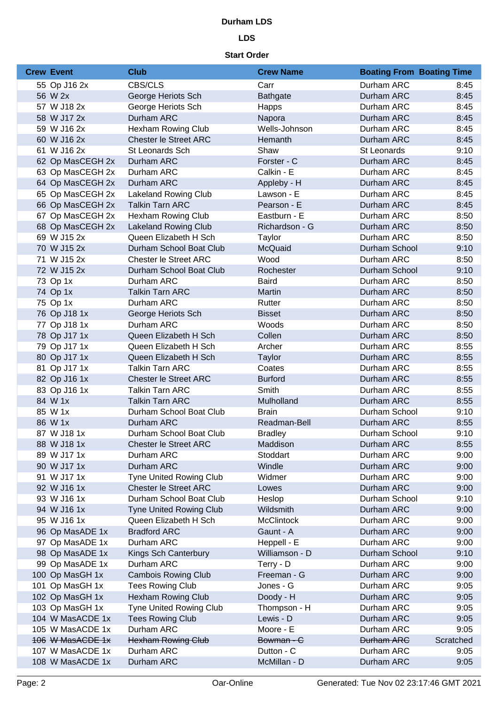#### **Durham LDS**

# **LDS**

#### **Start Order**

| <b>Crew Event</b> | <b>Club</b>                    | <b>Crew Name</b>  | <b>Boating From Boating Time</b> |           |
|-------------------|--------------------------------|-------------------|----------------------------------|-----------|
| 55 Op J16 2x      | CBS/CLS                        | Carr              | Durham ARC                       | 8:45      |
| 56 W 2x           | George Heriots Sch             | <b>Bathgate</b>   | Durham ARC                       | 8:45      |
| 57 W J18 2x       | George Heriots Sch             | Happs             | Durham ARC                       | 8:45      |
| 58 W J17 2x       | Durham ARC                     | Napora            | Durham ARC                       | 8:45      |
| 59 W J16 2x       | <b>Hexham Rowing Club</b>      | Wells-Johnson     | Durham ARC                       | 8:45      |
| 60 W J16 2x       | <b>Chester le Street ARC</b>   | Hemanth           | Durham ARC                       | 8:45      |
| 61 W J16 2x       | St Leonards Sch                | Shaw              | St Leonards                      | 9:10      |
| 62 Op MasCEGH 2x  | Durham ARC                     | Forster - C       | Durham ARC                       | 8:45      |
| 63 Op MasCEGH 2x  | Durham ARC                     | Calkin - E        | Durham ARC                       | 8:45      |
| 64 Op MasCEGH 2x  | Durham ARC                     | Appleby - H       | Durham ARC                       | 8:45      |
| 65 Op MasCEGH 2x  | <b>Lakeland Rowing Club</b>    | Lawson - E        | Durham ARC                       | 8:45      |
| 66 Op MasCEGH 2x  | <b>Talkin Tarn ARC</b>         | Pearson - E       | Durham ARC                       | 8:45      |
| 67 Op MasCEGH 2x  | <b>Hexham Rowing Club</b>      | Eastburn - E      | Durham ARC                       | 8:50      |
| 68 Op MasCEGH 2x  | <b>Lakeland Rowing Club</b>    | Richardson - G    | Durham ARC                       | 8:50      |
| 69 W J15 2x       | Queen Elizabeth H Sch          | Taylor            | Durham ARC                       | 8:50      |
| 70 W J15 2x       | Durham School Boat Club        | McQuaid           | Durham School                    | 9:10      |
| 71 W J15 2x       | <b>Chester le Street ARC</b>   | Wood              | Durham ARC                       | 8:50      |
| 72 W J15 2x       | Durham School Boat Club        | Rochester         | Durham School                    | 9:10      |
| 73 Op 1x          | Durham ARC                     | <b>Baird</b>      | Durham ARC                       | 8:50      |
| 74 Op 1x          | <b>Talkin Tarn ARC</b>         | Martin            | Durham ARC                       | 8:50      |
| 75 Op 1x          | Durham ARC                     | Rutter            | Durham ARC                       | 8:50      |
| 76 Op J18 1x      | George Heriots Sch             | <b>Bisset</b>     | Durham ARC                       | 8:50      |
| 77 Op J18 1x      | Durham ARC                     | Woods             | Durham ARC                       | 8:50      |
| 78 Op J17 1x      | Queen Elizabeth H Sch          | Collen            | Durham ARC                       | 8:50      |
| 79 Op J17 1x      | Queen Elizabeth H Sch          | Archer            | Durham ARC                       | 8:55      |
| 80 Op J17 1x      | Queen Elizabeth H Sch          | <b>Taylor</b>     | Durham ARC                       | 8:55      |
| 81 Op J17 1x      | <b>Talkin Tarn ARC</b>         | Coates            | Durham ARC                       | 8:55      |
| 82 Op J16 1x      | <b>Chester le Street ARC</b>   | <b>Burford</b>    | Durham ARC                       | 8:55      |
| 83 Op J16 1x      | <b>Talkin Tarn ARC</b>         | Smith             | Durham ARC                       | 8:55      |
| 84 W 1x           | <b>Talkin Tarn ARC</b>         | Mulholland        | Durham ARC                       | 8:55      |
| 85 W 1x           | Durham School Boat Club        | <b>Brain</b>      | Durham School                    | 9:10      |
| 86 W 1x           | Durham ARC                     | Readman-Bell      | Durham ARC                       | 8:55      |
| 87 W J18 1x       | Durham School Boat Club        | <b>Bradley</b>    | Durham School                    | 9:10      |
| 88 W J18 1x       | <b>Chester le Street ARC</b>   | Maddison          | Durham ARC                       | 8:55      |
| 89 W J17 1x       | Durham ARC                     | Stoddart          | Durham ARC                       | 9:00      |
| 90 W J17 1x       | Durham ARC                     | Windle            | Durham ARC                       | 9:00      |
| 91 W J17 1x       | <b>Tyne United Rowing Club</b> | Widmer            | Durham ARC                       | 9:00      |
| 92 W J16 1x       | <b>Chester le Street ARC</b>   | Lowes             | Durham ARC                       | 9:00      |
| 93 W J16 1x       | Durham School Boat Club        | Heslop            | Durham School                    | 9:10      |
| 94 W J16 1x       | <b>Tyne United Rowing Club</b> | Wildsmith         | Durham ARC                       | 9:00      |
| 95 W J16 1x       | Queen Elizabeth H Sch          | <b>McClintock</b> | Durham ARC                       | 9:00      |
| 96 Op MasADE 1x   | <b>Bradford ARC</b>            | Gaunt - A         | Durham ARC                       | 9:00      |
| 97 Op MasADE 1x   | Durham ARC                     | Heppell - E       | Durham ARC                       | 9:00      |
| 98 Op MasADE 1x   | Kings Sch Canterbury           | Williamson - D    | Durham School                    | 9:10      |
| 99 Op MasADE 1x   | Durham ARC                     | Terry - D         | Durham ARC                       | 9:00      |
| 100 Op MasGH 1x   | <b>Cambois Rowing Club</b>     | Freeman - G       | Durham ARC                       | 9:00      |
| 101 Op MasGH 1x   | <b>Tees Rowing Club</b>        | Jones - G         | Durham ARC                       | 9:05      |
| 102 Op MasGH 1x   | <b>Hexham Rowing Club</b>      | Doody - H         | Durham ARC                       | 9:05      |
| 103 Op MasGH 1x   | <b>Tyne United Rowing Club</b> | Thompson - H      | Durham ARC                       | 9:05      |
| 104 W MasACDE 1x  | <b>Tees Rowing Club</b>        | Lewis - D         | Durham ARC                       | 9:05      |
| 105 W MasACDE 1x  | Durham ARC                     | Moore - E         | Durham ARC                       | 9:05      |
| 106 W MasACDE 1x  | Hexham Rowing Club             | Bowman - C        | <b>Durham ARC</b>                | Scratched |
| 107 W MasACDE 1x  | Durham ARC                     | Dutton - C        | Durham ARC                       | 9:05      |
| 108 W MasACDE 1x  | Durham ARC                     | McMillan - D      | Durham ARC                       | 9:05      |